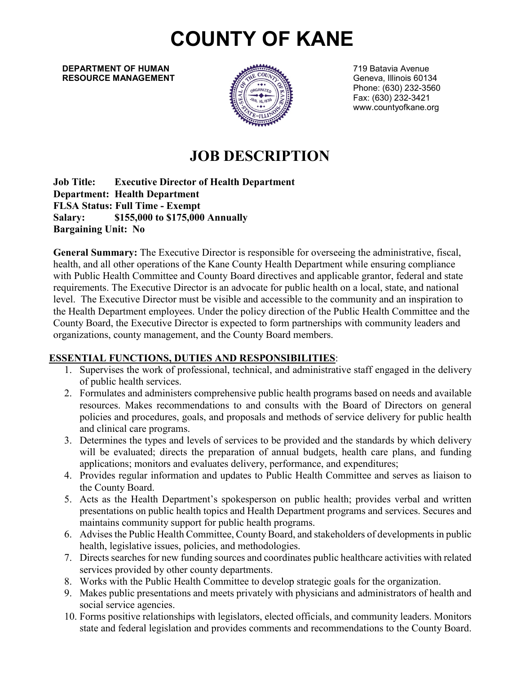# **COUNTY OF KANE**

**DEPARTMENT OF HUMAN 19 DEPARTMENT OF HUMAN** 19 DEPARTMENT OF HUMAN **RESOURCE MANAGEMENT Example 19** We see the component of the Geneva, Illinois 60134



Phone: (630) 232-3560 Fax: (630) 232-3421 [www.countyofkane.org](http://www.countyofkane.org/)

# **JOB DESCRIPTION**

**Job Title: Executive Director of Health Department Department: Health Department FLSA Status: Full Time - Exempt Salary: \$155,000 to \$175,000 Annually Bargaining Unit: No**

**General Summary:** The Executive Director is responsible for overseeing the administrative, fiscal, health, and all other operations of the Kane County Health Department while ensuring compliance with Public Health Committee and County Board directives and applicable grantor, federal and state requirements. The Executive Director is an advocate for public health on a local, state, and national level. The Executive Director must be visible and accessible to the community and an inspiration to the Health Department employees. Under the policy direction of the Public Health Committee and the County Board, the Executive Director is expected to form partnerships with community leaders and organizations, county management, and the County Board members.

#### **ESSENTIAL FUNCTIONS, DUTIES AND RESPONSIBILITIES**:

- 1. Supervises the work of professional, technical, and administrative staff engaged in the delivery of public health services.
- 2. Formulates and administers comprehensive public health programs based on needs and available resources. Makes recommendations to and consults with the Board of Directors on general policies and procedures, goals, and proposals and methods of service delivery for public health and clinical care programs.
- 3. Determines the types and levels of services to be provided and the standards by which delivery will be evaluated; directs the preparation of annual budgets, health care plans, and funding applications; monitors and evaluates delivery, performance, and expenditures;
- 4. Provides regular information and updates to Public Health Committee and serves as liaison to the County Board.
- 5. Acts as the Health Department's spokesperson on public health; provides verbal and written presentations on public health topics and Health Department programs and services. Secures and maintains community support for public health programs.
- 6. Advises the Public Health Committee, County Board, and stakeholders of developments in public health, legislative issues, policies, and methodologies.
- 7. Directs searches for new funding sources and coordinates public healthcare activities with related services provided by other county departments.
- 8. Works with the Public Health Committee to develop strategic goals for the organization.
- 9. Makes public presentations and meets privately with physicians and administrators of health and social service agencies.
- 10. Forms positive relationships with legislators, elected officials, and community leaders. Monitors state and federal legislation and provides comments and recommendations to the County Board.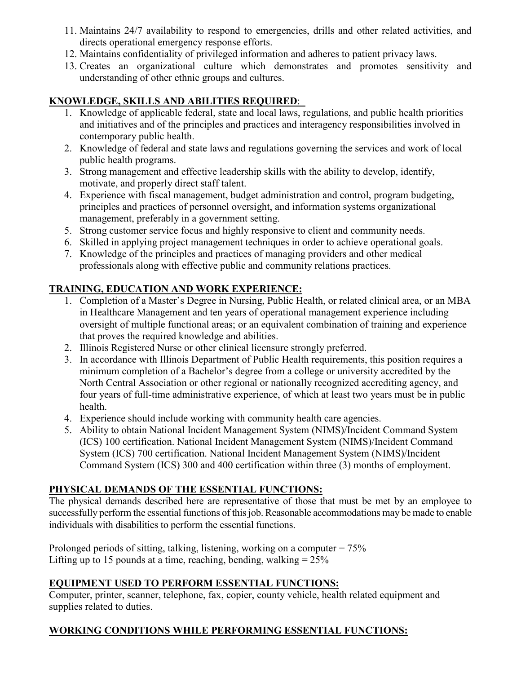- 11. Maintains 24/7 availability to respond to emergencies, drills and other related activities, and directs operational emergency response efforts.
- 12. Maintains confidentiality of privileged information and adheres to patient privacy laws.
- 13. Creates an organizational culture which demonstrates and promotes sensitivity and understanding of other ethnic groups and cultures.

#### **KNOWLEDGE, SKILLS AND ABILITIES REQUIRED**:

- 1. Knowledge of applicable federal, state and local laws, regulations, and public health priorities and initiatives and of the principles and practices and interagency responsibilities involved in contemporary public health.
- 2. Knowledge of federal and state laws and regulations governing the services and work of local public health programs.
- 3. Strong management and effective leadership skills with the ability to develop, identify, motivate, and properly direct staff talent.
- 4. Experience with fiscal management, budget administration and control, program budgeting, principles and practices of personnel oversight, and information systems organizational management, preferably in a government setting.
- 5. Strong customer service focus and highly responsive to client and community needs.
- 6. Skilled in applying project management techniques in order to achieve operational goals.
- 7. Knowledge of the principles and practices of managing providers and other medical professionals along with effective public and community relations practices.

### **TRAINING, EDUCATION AND WORK EXPERIENCE:**

- 1. Completion of a Master's Degree in Nursing, Public Health, or related clinical area, or an MBA in Healthcare Management and ten years of operational management experience including oversight of multiple functional areas; or an equivalent combination of training and experience that proves the required knowledge and abilities.
- 2. Illinois Registered Nurse or other clinical licensure strongly preferred.
- 3. In accordance with Illinois Department of Public Health requirements, this position requires a minimum completion of a Bachelor's degree from a college or university accredited by the North Central Association or other regional or nationally recognized accrediting agency, and four years of full-time administrative experience, of which at least two years must be in public health.
- 4. Experience should include working with community health care agencies.
- 5. Ability to obtain National Incident Management System (NIMS)/Incident Command System (ICS) 100 certification. National Incident Management System (NIMS)/Incident Command System (ICS) 700 certification. National Incident Management System (NIMS)/Incident Command System (ICS) 300 and 400 certification within three (3) months of employment.

#### **PHYSICAL DEMANDS OF THE ESSENTIAL FUNCTIONS:**

The physical demands described here are representative of those that must be met by an employee to successfully perform the essential functions of this job. Reasonable accommodations may be made to enable individuals with disabilities to perform the essential functions.

Prolonged periods of sitting, talking, listening, working on a computer = 75% Lifting up to 15 pounds at a time, reaching, bending, walking  $= 25\%$ 

#### **EQUIPMENT USED TO PERFORM ESSENTIAL FUNCTIONS:**

Computer, printer, scanner, telephone, fax, copier, county vehicle, health related equipment and supplies related to duties.

## **WORKING CONDITIONS WHILE PERFORMING ESSENTIAL FUNCTIONS:**